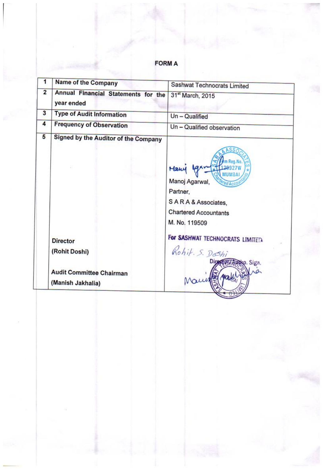# **FORM A**

|                | Name of the Company                                  | Sashwat Technocrats Limited                                                                                       |
|----------------|------------------------------------------------------|-------------------------------------------------------------------------------------------------------------------|
| $\overline{2}$ | Annual Financial Statements for the<br>year ended    | 31 <sup>st</sup> March, 2015                                                                                      |
| 3              | <b>Type of Audit Information</b>                     | Un - Qualified                                                                                                    |
| 4              | <b>Frequency of Observation</b>                      | Un - Qualified observation                                                                                        |
| 5              | Signed by the Auditor of the Company                 | ASS/<br>Hawy<br>Manoj Agarwal,<br>Partner.<br>SARA & Associates,<br><b>Chartered Accountants</b><br>M. No. 119509 |
|                | <b>Director</b><br>(Rohit Doshi)                     | For SASHWAT TECHNOCRATS LIMITED.                                                                                  |
|                | <b>Audit Committee Chairman</b><br>(Manish Jakhalia) | Rohit. S. Doshi<br>GIA Ausko. Sign.                                                                               |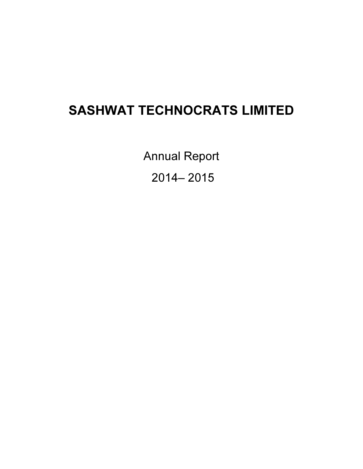# SASHWAT TECHNOCRATS LIMITED

Annual Report 2014– 2015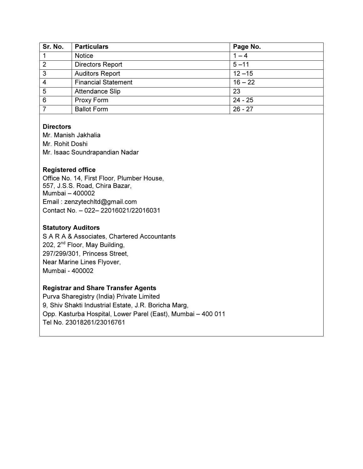| Sr. No.         | <b>Particulars</b>         | Page No.  |
|-----------------|----------------------------|-----------|
|                 | <b>Notice</b>              | $1 - 4$   |
| $\overline{2}$  | <b>Directors Report</b>    | $5 - 11$  |
| $\overline{3}$  | <b>Auditors Report</b>     | $12 - 15$ |
| $\overline{4}$  | <b>Financial Statement</b> | $16 - 22$ |
| $\overline{5}$  | Attendance Slip            | 23        |
| $6\phantom{1}6$ | Proxy Form                 | $24 - 25$ |
|                 | <b>Ballot Form</b>         | $26 - 27$ |

# **Directors**

Mr. Manish Jakhalia Mr. Rohit Doshi Mr. Isaac Soundrapandian Nadar

# Registered office

Office No. 14, First Floor, Plumber House, 557, J.S.S. Road, Chira Bazar, Mumbai – 400002 Email : zenzytechltd@gmail.com Contact No. – 022– 22016021/22016031

# Statutory Auditors

S A R A & Associates, Chartered Accountants 202, 2nd Floor, May Building, 297/299/301, Princess Street, Near Marine Lines Flyover, Mumbai - 400002

# Registrar and Share Transfer Agents

Purva Sharegistry (India) Private Limited 9, Shiv Shakti Industrial Estate, J.R. Boricha Marg, Opp. Kasturba Hospital, Lower Parel (East), Mumbai – 400 011 Tel No. 23018261/23016761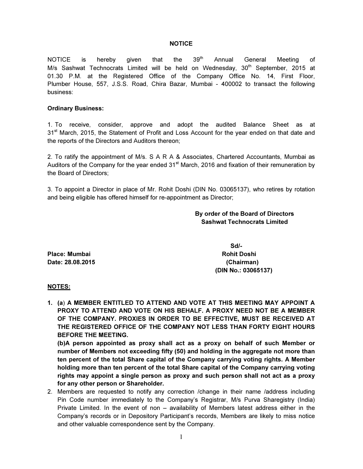#### **NOTICE**

NOTICE is hereby given that the 39<sup>th</sup> Annual General Meeting of M/s Sashwat Technocrats Limited will be held on Wednesday,  $30<sup>th</sup>$  September, 2015 at 01.30 P.M. at the Registered Office of the Company Office No. 14, First Floor, Plumber House, 557, J.S.S. Road, Chira Bazar, Mumbai - 400002 to transact the following business:

#### Ordinary Business:

1. To receive, consider, approve and adopt the audited Balance Sheet as at 31<sup>st</sup> March, 2015, the Statement of Profit and Loss Account for the year ended on that date and the reports of the Directors and Auditors thereon;

2. To ratify the appointment of M/s. S A R A & Associates, Chartered Accountants, Mumbai as Auditors of the Company for the year ended 31<sup>st</sup> March, 2016 and fixation of their remuneration by the Board of Directors;

3. To appoint a Director in place of Mr. Rohit Doshi (DIN No. 03065137), who retires by rotation and being eligible has offered himself for re-appointment as Director;

### By order of the Board of Directors Sashwat Technocrats Limited

Place: Mumbai Rohit Doshi Rohit Doshi Rohit Doshi Rohit Doshi Rohit Doshi Rohit Doshi Rohit Doshi Ro Date: 28.08.2015 (Chairman)

 $S$ d/- $S$ d/- $S$ (DIN No.: 03065137)

#### NOTES:

1. (a) A MEMBER ENTITLED TO ATTEND AND VOTE AT THIS MEETING MAY APPOINT A PROXY TO ATTEND AND VOTE ON HIS BEHALF. A PROXY NEED NOT BE A MEMBER OF THE COMPANY. PROXIES IN ORDER TO BE EFFECTIVE, MUST BE RECEIVED AT THE REGISTERED OFFICE OF THE COMPANY NOT LESS THAN FORTY EIGHT HOURS BEFORE THE MEETING.

(b)A person appointed as proxy shall act as a proxy on behalf of such Member or number of Members not exceeding fifty (50) and holding in the aggregate not more than ten percent of the total Share capital of the Company carrying voting rights. A Member holding more than ten percent of the total Share capital of the Company carrying voting rights may appoint a single person as proxy and such person shall not act as a proxy for any other person or Shareholder.

2. Members are requested to notify any correction /change in their name /address including Pin Code number immediately to the Company's Registrar, M/s Purva Sharegistry (India) Private Limited. In the event of non – availability of Members latest address either in the Company's records or in Depository Participant's records, Members are likely to miss notice and other valuable correspondence sent by the Company.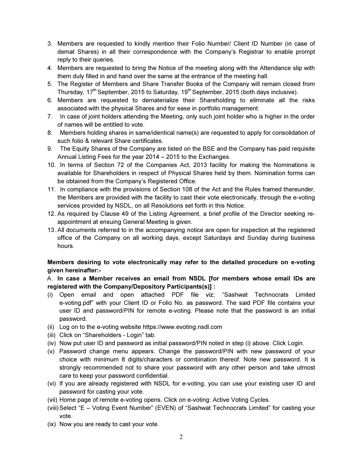- 3. Members are requested to kindly mention their Folio Number/ Client ID Number (in case of demat Shares) in all their correspondence with the Company's Registrar to enable prompt reply to their queries.
- 4. Members are requested to bring the Notice of the meeting along with the Attendance slip with them duly filled in and hand over the same at the entrance of the meeting hall.
- 5. The Register of Members and Share Transfer Books of the Company will remain closed from Thursday,  $17<sup>th</sup>$  September, 2015 to Saturday,  $19<sup>th</sup>$  September, 2015 (both days inclusive).
- 6. Members are requested to dematerialize their Shareholding to eliminate all the risks associated with the physical Shares and for ease in portfolio management.
- 7. In case of joint holders attending the Meeting, only such joint holder who is higher in the order of names will be entitled to vote.
- 8. Members holding shares in same/identical name(s) are requested to apply for consolidation of such folio & relevant Share certificates.
- 9. The Equity Shares of the Company are listed on the BSE and the Company has paid requisite Annual Listing Fees for the year 2014 – 2015 to the Exchanges.
- 10. In terms of Section 72 of the Companies Act, 2013 facility for making the Nominations is available for Shareholders in respect of Physical Shares held by them. Nomination forms can be obtained from the Company's Registered Office.
- 11. In compliance with the provisions of Section 108 of the Act and the Rules framed thereunder, the Members are provided with the facility to cast their vote electronically, through the e-voting services provided by NSDL, on all Resolutions set forth in this Notice.
- 12. As required by Clause 49 of the Listing Agreement, a brief profile of the Director seeking reappointment at ensuing General Meeting is given.
- 13. All documents referred to in the accompanying notice are open for inspection at the registered office of the Company on all working days, except Saturdays and Sunday during business hours.

# Members desiring to vote electronically may refer to the detailed procedure on e-voting given hereinafter:-

# A. In case a Member receives an email from NSDL [for members whose email IDs are registered with the Company/Depository Participants(s)] :

- (i) Open email and open attached PDF file viz; "Sashwat Technocrats Limited e-voting.pdf" with your Client ID or Folio No. as password. The said PDF file contains your user ID and password/PIN for remote e-voting. Please note that the password is an initial password.
- (ii) Log on to the e-voting website https://www.evoting.nsdl.com
- (iii) Click on "Shareholders Login" tab.
- (iv) Now put user ID and password as initial password/PIN noted in step (i) above. Click Login.
- (v) Password change menu appears. Change the password/PIN with new password of your choice with minimum 8 digits/characters or combination thereof. Note new password. It is strongly recommended not to share your password with any other person and take utmost care to keep your password confidential.
- (vi) If you are already registered with NSDL for e-voting, you can use your existing user ID and password for casting your vote.
- (vii) Home page of remote e-voting opens. Click on e-voting: Active Voting Cycles.
- (viii) Select "E Voting Event Number" (EVEN) of "Sashwat Technocrats Limited" for casting your vote.
- (ix) Now you are ready to cast your vote.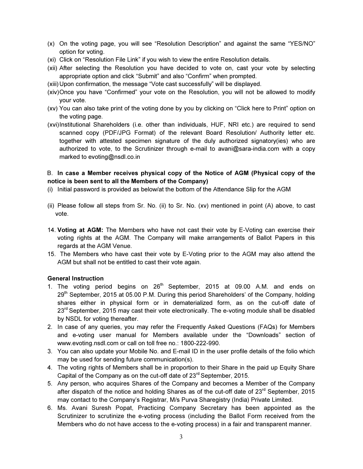- (x) On the voting page, you will see "Resolution Description" and against the same "YES/NO" option for voting.
- (xi) Click on "Resolution File Link" if you wish to view the entire Resolution details.
- (xii) After selecting the Resolution you have decided to vote on, cast your vote by selecting appropriate option and click "Submit" and also "Confirm" when prompted.
- (xiii) Upon confirmation, the message "Vote cast successfully" will be displayed.
- (xiv) Once you have "Confirmed" your vote on the Resolution, you will not be allowed to modify your vote.
- (xv) You can also take print of the voting done by you by clicking on "Click here to Print" option on the voting page.
- (xvi) Institutional Shareholders (i.e. other than individuals, HUF, NRI etc.) are required to send scanned copy (PDF/JPG Format) of the relevant Board Resolution/ Authority letter etc. together with attested specimen signature of the duly authorized signatory(ies) who are authorized to vote, to the Scrutinizer through e-mail to avani@sara-india.com with a copy marked to evoting@nsdl.co.in

### B. In case a Member receives physical copy of the Notice of AGM (Physical copy of the notice is been sent to all the Members of the Company)

- (i) Initial password is provided as below/at the bottom of the Attendance Slip for the AGM
- (ii) Please follow all steps from Sr. No. (ii) to Sr. No. (xv) mentioned in point (A) above, to cast vote.
- 14. Voting at AGM: The Members who have not cast their vote by E-Voting can exercise their voting rights at the AGM. The Company will make arrangements of Ballot Papers in this regards at the AGM Venue.
- 15. The Members who have cast their vote by E-Voting prior to the AGM may also attend the AGM but shall not be entitled to cast their vote again.

#### General Instruction

- 1. The voting period begins on 26<sup>th</sup> September, 2015 at 09.00 A.M. and ends on 29th September, 2015 at 05.00 P.M. During this period Shareholders' of the Company, holding shares either in physical form or in dematerialized form, as on the cut-off date of 23<sup>rd</sup> September, 2015 may cast their vote electronically. The e-voting module shall be disabled by NSDL for voting thereafter.
- 2. In case of any queries, you may refer the Frequently Asked Questions (FAQs) for Members and e-voting user manual for Members available under the "Downloads" section of www.evoting.nsdl.com or call on toll free no.: 1800-222-990.
- 3. You can also update your Mobile No. and E-mail ID in the user profile details of the folio which may be used for sending future communication(s).
- 4. The voting rights of Members shall be in proportion to their Share in the paid up Equity Share Capital of the Company as on the cut-off date of 23<sup>rd</sup> September, 2015.
- 5. Any person, who acquires Shares of the Company and becomes a Member of the Company after dispatch of the notice and holding Shares as of the cut-off date of  $23<sup>rd</sup>$  September, 2015 may contact to the Company's Registrar, M/s Purva Sharegistry (India) Private Limited.
- 6. Ms. Avani Suresh Popat, Practicing Company Secretary has been appointed as the Scrutinizer to scrutinize the e-voting process (including the Ballot Form received from the Members who do not have access to the e-voting process) in a fair and transparent manner.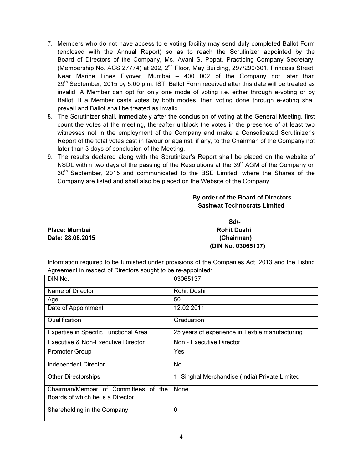- 7. Members who do not have access to e-voting facility may send duly completed Ballot Form (enclosed with the Annual Report) so as to reach the Scrutinizer appointed by the Board of Directors of the Company, Ms. Avani S. Popat, Practicing Company Secretary, (Membership No. ACS 27774) at 202,  $2<sup>nd</sup>$  Floor, May Building, 297/299/301, Princess Street, Near Marine Lines Flyover, Mumbai – 400 002 of the Company not later than 29<sup>th</sup> September, 2015 by 5.00 p.m. IST. Ballot Form received after this date will be treated as invalid. A Member can opt for only one mode of voting i.e. either through e-voting or by Ballot. If a Member casts votes by both modes, then voting done through e-voting shall prevail and Ballot shall be treated as invalid.
- 8. The Scrutinizer shall, immediately after the conclusion of voting at the General Meeting, first count the votes at the meeting, thereafter unblock the votes in the presence of at least two witnesses not in the employment of the Company and make a Consolidated Scrutinizer's Report of the total votes cast in favour or against, if any, to the Chairman of the Company not later than 3 days of conclusion of the Meeting.
- 9. The results declared along with the Scrutinizer's Report shall be placed on the website of NSDL within two days of the passing of the Resolutions at the 39<sup>th</sup> AGM of the Company on 30<sup>th</sup> September, 2015 and communicated to the BSE Limited, where the Shares of the Company are listed and shall also be placed on the Website of the Company.

# By order of the Board of Directors Sashwat Technocrats Limited

Place: Mumbai **Rohit Doshi** Rohit Doshi Date: 28.08.2015 (Chairman)

Sd/- (DIN No. 03065137)

Information required to be furnished under provisions of the Companies Act, 2013 and the Listing Agreement in respect of Directors sought to be re-appointed:

| DIN No.                                      | 03065137                                        |
|----------------------------------------------|-------------------------------------------------|
| Name of Director                             | Rohit Doshi                                     |
| Age                                          | 50                                              |
| Date of Appointment                          | 12.02.2011                                      |
| Qualification                                | Graduation                                      |
| <b>Expertise in Specific Functional Area</b> | 25 years of experience in Textile manufacturing |
| Executive & Non-Executive Director           | Non - Executive Director                        |
| <b>Promoter Group</b>                        | Yes                                             |
| Independent Director                         | No                                              |
| <b>Other Directorships</b>                   | 1. Singhal Merchandise (India) Private Limited  |
| Chairman/Member of Committees of the         | None                                            |
| Boards of which he is a Director             |                                                 |
| Shareholding in the Company                  | 0                                               |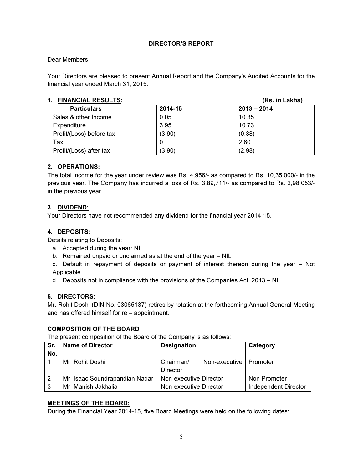# DIRECTOR'S REPORT

#### Dear Members,

Your Directors are pleased to present Annual Report and the Company's Audited Accounts for the financial year ended March 31, 2015.

# 1. FINANCIAL RESULTS: (Rs. in Lakhs)

| I. FINANUIAL REJULIJ.    |         | (RS. III LANIS) |
|--------------------------|---------|-----------------|
| <b>Particulars</b>       | 2014-15 | $2013 - 2014$   |
| Sales & other Income     | 0.05    | 10.35           |
| Expenditure              | 3.95    | 10.73           |
| Profit/(Loss) before tax | (3.90)  | (0.38)          |
| Tax                      |         | 2.60            |
| Profit/(Loss) after tax  | (3.90)  | (2.98)          |

#### 2. OPERATIONS:

The total income for the year under review was Rs. 4,956/- as compared to Rs. 10,35,000/- in the previous year. The Company has incurred a loss of Rs. 3,89,711/- as compared to Rs. 2,98,053/ in the previous year.

#### 3. DIVIDEND:

Your Directors have not recommended any dividend for the financial year 2014-15.

### 4. DEPOSITS:

Details relating to Deposits:

- a. Accepted during the year: NIL
- b. Remained unpaid or unclaimed as at the end of the year NIL
- c. Default in repayment of deposits or payment of interest thereon during the year Not Applicable
- d. Deposits not in compliance with the provisions of the Companies Act, 2013 NIL

#### 5. DIRECTORS:

Mr. Rohit Doshi (DIN No. 03065137) retires by rotation at the forthcoming Annual General Meeting and has offered himself for re – appointment.

#### COMPOSITION OF THE BOARD

The present composition of the Board of the Company is as follows:

| Sr. | <b>Name of Director</b>        | <b>Designation</b>         | Category                    |
|-----|--------------------------------|----------------------------|-----------------------------|
| No. |                                |                            |                             |
|     | Mr. Rohit Doshi                | Chairman/<br>Non-executive | Promoter                    |
|     |                                | Director                   |                             |
|     | Mr. Isaac Soundrapandian Nadar | Non-executive Director     | Non Promoter                |
| 3   | Mr. Manish Jakhalia            | Non-executive Director     | <b>Independent Director</b> |

#### MEETINGS OF THE BOARD:

During the Financial Year 2014-15, five Board Meetings were held on the following dates: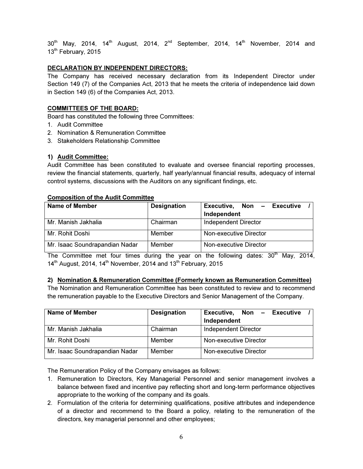$30<sup>th</sup>$  May, 2014, 14<sup>th</sup> August, 2014, 2<sup>nd</sup> September, 2014, 14<sup>th</sup> November, 2014 and 13<sup>th</sup> February, 2015

# DECLARATION BY INDEPENDENT DIRECTORS:

The Company has received necessary declaration from its Independent Director under Section 149 (7) of the Companies Act, 2013 that he meets the criteria of independence laid down in Section 149 (6) of the Companies Act, 2013.

### COMMITTEES OF THE BOARD:

Board has constituted the following three Committees:

- 1. Audit Committee
- 2. Nomination & Remuneration Committee
- 3. Stakeholders Relationship Committee

#### 1) Audit Committee:

Audit Committee has been constituted to evaluate and oversee financial reporting processes, review the financial statements, quarterly, half yearly/annual financial results, adequacy of internal control systems, discussions with the Auditors on any significant findings, etc.

#### Composition of the Audit Committee

| Name of Member                 | <b>Designation</b> | Executive,<br>Non - Executive<br>Independent |
|--------------------------------|--------------------|----------------------------------------------|
| Mr. Manish Jakhalia            | Chairman           | <b>Independent Director</b>                  |
| Mr. Rohit Doshi                | Member             | Non-executive Director                       |
| Mr. Isaac Soundrapandian Nadar | Member             | Non-executive Director                       |

The Committee met four times during the year on the following dates:  $30<sup>th</sup>$  May, 2014,  $14<sup>th</sup>$  August, 2014, 14<sup>th</sup> November, 2014 and 13<sup>th</sup> February, 2015

#### 2) Nomination & Remuneration Committee (Formerly known as Remuneration Committee)

The Nomination and Remuneration Committee has been constituted to review and to recommend the remuneration payable to the Executive Directors and Senior Management of the Company.

| Name of Member                 | <b>Designation</b> | Executive,<br>Non - Executive<br>Independent |
|--------------------------------|--------------------|----------------------------------------------|
| Mr. Manish Jakhalia            | Chairman           | <b>Independent Director</b>                  |
| Mr. Rohit Doshi                | Member             | Non-executive Director                       |
| Mr. Isaac Soundrapandian Nadar | Member             | Non-executive Director                       |

The Remuneration Policy of the Company envisages as follows:

- 1. Remuneration to Directors, Key Managerial Personnel and senior management involves a balance between fixed and incentive pay reflecting short and long-term performance objectives appropriate to the working of the company and its goals.
- 2. Formulation of the criteria for determining qualifications, positive attributes and independence of a director and recommend to the Board a policy, relating to the remuneration of the directors, key managerial personnel and other employees;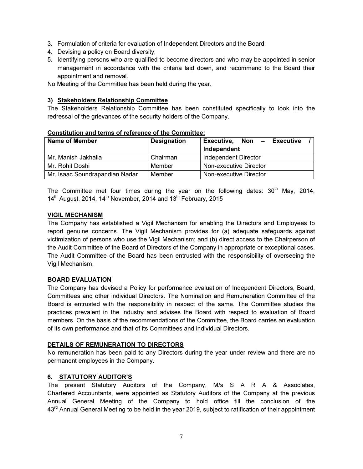- 3. Formulation of criteria for evaluation of Independent Directors and the Board;
- 4. Devising a policy on Board diversity;
- 5. Identifying persons who are qualified to become directors and who may be appointed in senior management in accordance with the criteria laid down, and recommend to the Board their appointment and removal.

No Meeting of the Committee has been held during the year.

### 3) Stakeholders Relationship Committee

The Stakeholders Relationship Committee has been constituted specifically to look into the redressal of the grievances of the security holders of the Company.

| Name of Member                                      | <b>Designation</b> | Non –<br>Executive,<br>Executive |  |  |  |
|-----------------------------------------------------|--------------------|----------------------------------|--|--|--|
|                                                     |                    | Independent                      |  |  |  |
| Mr. Manish Jakhalia                                 | Chairman           | Independent Director             |  |  |  |
| Mr. Rohit Doshi<br>Non-executive Director<br>Member |                    |                                  |  |  |  |
| Mr. Isaac Soundrapandian Nadar                      | Member             | Non-executive Director           |  |  |  |

#### Constitution and terms of reference of the Committee:

The Committee met four times during the year on the following dates:  $30<sup>th</sup>$  May, 2014,  $14<sup>th</sup>$  August, 2014, 14<sup>th</sup> November, 2014 and 13<sup>th</sup> February, 2015

# VIGIL MECHANISM

The Company has established a Vigil Mechanism for enabling the Directors and Employees to report genuine concerns. The Vigil Mechanism provides for (a) adequate safeguards against victimization of persons who use the Vigil Mechanism; and (b) direct access to the Chairperson of the Audit Committee of the Board of Directors of the Company in appropriate or exceptional cases. The Audit Committee of the Board has been entrusted with the responsibility of overseeing the Vigil Mechanism.

#### BOARD EVALUATION

The Company has devised a Policy for performance evaluation of Independent Directors, Board, Committees and other individual Directors. The Nomination and Remuneration Committee of the Board is entrusted with the responsibility in respect of the same. The Committee studies the practices prevalent in the industry and advises the Board with respect to evaluation of Board members. On the basis of the recommendations of the Committee, the Board carries an evaluation of its own performance and that of its Committees and individual Directors.

#### DETAILS OF REMUNERATION TO DIRECTORS

No remuneration has been paid to any Directors during the year under review and there are no permanent employees in the Company.

# 6. STATUTORY AUDITOR'S

The present Statutory Auditors of the Company, M/s S A R A & Associates, Chartered Accountants, were appointed as Statutory Auditors of the Company at the previous Annual General Meeting of the Company to hold office till the conclusion of the 43<sup>rd</sup> Annual General Meeting to be held in the year 2019, subject to ratification of their appointment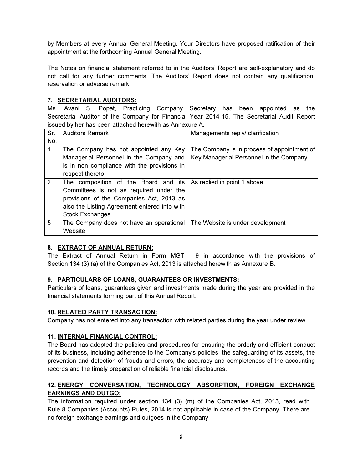by Members at every Annual General Meeting. Your Directors have proposed ratification of their appointment at the forthcoming Annual General Meeting.

The Notes on financial statement referred to in the Auditors' Report are self-explanatory and do not call for any further comments. The Auditors' Report does not contain any qualification, reservation or adverse remark.

# 7. SECRETARIAL AUDITORS:

Ms. Avani S. Popat, Practicing Company Secretary has been appointed as the Secretarial Auditor of the Company for Financial Year 2014-15. The Secretarial Audit Report issued by her has been attached herewith as Annexure A.

| Sr.          | <b>Auditors Remark</b>                       | Managements reply/ clarification            |
|--------------|----------------------------------------------|---------------------------------------------|
| No.          |                                              |                                             |
| $\mathbf{1}$ | The Company has not appointed any Key        | The Company is in process of appointment of |
|              | Managerial Personnel in the Company and      | Key Managerial Personnel in the Company     |
|              | is in non compliance with the provisions in  |                                             |
|              | respect thereto                              |                                             |
| 2            | The composition of the Board and its         | As replied in point 1 above                 |
|              | Committees is not as required under the      |                                             |
|              | provisions of the Companies Act, 2013 as     |                                             |
|              | also the Listing Agreement entered into with |                                             |
|              | <b>Stock Exchanges</b>                       |                                             |
| 5            | The Company does not have an operational     | The Website is under development            |
|              | Website                                      |                                             |

# 8. EXTRACT OF ANNUAL RETURN:

The Extract of Annual Return in Form MGT - 9 in accordance with the provisions of Section 134 (3) (a) of the Companies Act, 2013 is attached herewith as Annexure B.

# 9. PARTICULARS OF LOANS, GUARANTEES OR INVESTMENTS:

Particulars of loans, guarantees given and investments made during the year are provided in the financial statements forming part of this Annual Report.

# 10. RELATED PARTY TRANSACTION:

Company has not entered into any transaction with related parties during the year under review.

# 11. INTERNAL FINANCIAL CONTROL:

The Board has adopted the policies and procedures for ensuring the orderly and efficient conduct of its business, including adherence to the Company's policies, the safeguarding of its assets, the prevention and detection of frauds and errors, the accuracy and completeness of the accounting records and the timely preparation of reliable financial disclosures.

# 12. ENERGY CONVERSATION, TECHNOLOGY ABSORPTION, FOREIGN EXCHANGE EARNINGS AND OUTGO:

The information required under section 134 (3) (m) of the Companies Act, 2013, read with Rule 8 Companies (Accounts) Rules, 2014 is not applicable in case of the Company. There are no foreign exchange earnings and outgoes in the Company.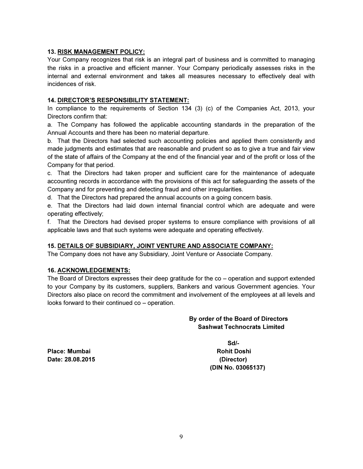### 13. RISK MANAGEMENT POLICY:

Your Company recognizes that risk is an integral part of business and is committed to managing the risks in a proactive and efficient manner. Your Company periodically assesses risks in the internal and external environment and takes all measures necessary to effectively deal with incidences of risk.

# 14. DIRECTOR'S RESPONSIBILITY STATEMENT:

In compliance to the requirements of Section 134 (3) (c) of the Companies Act, 2013, your Directors confirm that:

a. The Company has followed the applicable accounting standards in the preparation of the Annual Accounts and there has been no material departure.

b. That the Directors had selected such accounting policies and applied them consistently and made judgments and estimates that are reasonable and prudent so as to give a true and fair view of the state of affairs of the Company at the end of the financial year and of the profit or loss of the Company for that period.

c. That the Directors had taken proper and sufficient care for the maintenance of adequate accounting records in accordance with the provisions of this act for safeguarding the assets of the Company and for preventing and detecting fraud and other irregularities.

d. That the Directors had prepared the annual accounts on a going concern basis.

e. That the Directors had laid down internal financial control which are adequate and were operating effectively;

f. That the Directors had devised proper systems to ensure compliance with provisions of all applicable laws and that such systems were adequate and operating effectively.

# 15. DETAILS OF SUBSIDIARY, JOINT VENTURE AND ASSOCIATE COMPANY:

The Company does not have any Subsidiary, Joint Venture or Associate Company.

#### 16. ACKNOWLEDGEMENTS:

The Board of Directors expresses their deep gratitude for the co – operation and support extended to your Company by its customers, suppliers, Bankers and various Government agencies. Your Directors also place on record the commitment and involvement of the employees at all levels and looks forward to their continued co – operation.

# By order of the Board of Directors Sashwat Technocrats Limited

Place: Mumbai Rohit Doshi Date: 28.08.2015 (Director)

Sd/- (DIN No. 03065137)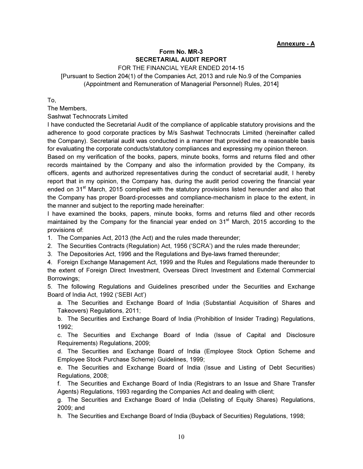#### Annexure - A

# Form No. MR-3 SECRETARIAL AUDIT REPORT

FOR THE FINANCIAL YEAR ENDED 2014-15

[Pursuant to Section 204(1) of the Companies Act, 2013 and rule No.9 of the Companies (Appointment and Remuneration of Managerial Personnel) Rules, 2014]

To,

The Members,

Sashwat Technocrats Limited

I have conducted the Secretarial Audit of the compliance of applicable statutory provisions and the adherence to good corporate practices by M/s Sashwat Technocrats Limited (hereinafter called the Company). Secretarial audit was conducted in a manner that provided me a reasonable basis for evaluating the corporate conducts/statutory compliances and expressing my opinion thereon.

Based on my verification of the books, papers, minute books, forms and returns filed and other records maintained by the Company and also the information provided by the Company, its officers, agents and authorized representatives during the conduct of secretarial audit, I hereby report that in my opinion, the Company has, during the audit period covering the financial year ended on 31<sup>st</sup> March, 2015 complied with the statutory provisions listed hereunder and also that the Company has proper Board-processes and compliance-mechanism in place to the extent, in the manner and subject to the reporting made hereinafter:

I have examined the books, papers, minute books, forms and returns filed and other records maintained by the Company for the financial year ended on 31<sup>st</sup> March, 2015 according to the provisions of:

1. The Companies Act, 2013 (the Act) and the rules made thereunder;

2. The Securities Contracts (Regulation) Act, 1956 ('SCRA') and the rules made thereunder;

3. The Depositories Act, 1996 and the Regulations and Bye-laws framed thereunder;

4. Foreign Exchange Management Act, 1999 and the Rules and Regulations made thereunder to the extent of Foreign Direct Investment, Overseas Direct Investment and External Commercial Borrowings;

5. The following Regulations and Guidelines prescribed under the Securities and Exchange Board of India Act, 1992 ('SEBI Act')

a. The Securities and Exchange Board of India (Substantial Acquisition of Shares and Takeovers) Regulations, 2011;

b. The Securities and Exchange Board of India (Prohibition of Insider Trading) Regulations, 1992;

c. The Securities and Exchange Board of India (Issue of Capital and Disclosure Requirements) Regulations, 2009;

d. The Securities and Exchange Board of India (Employee Stock Option Scheme and Employee Stock Purchase Scheme) Guidelines, 1999;

e. The Securities and Exchange Board of India (Issue and Listing of Debt Securities) Regulations, 2008;

f. The Securities and Exchange Board of India (Registrars to an Issue and Share Transfer Agents) Regulations, 1993 regarding the Companies Act and dealing with client;

g. The Securities and Exchange Board of India (Delisting of Equity Shares) Regulations, 2009; and

h. The Securities and Exchange Board of India (Buyback of Securities) Regulations, 1998;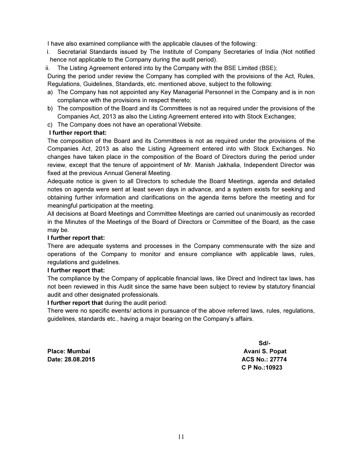I have also examined compliance with the applicable clauses of the following:

- i. Secretarial Standards issued by The Institute of Company Secretaries of India (Not notified hence not applicable to the Company during the audit period).
- ii. The Listing Agreement entered into by the Company with the BSE Limited (BSE);

During the period under review the Company has complied with the provisions of the Act, Rules, Regulations, Guidelines, Standards, etc. mentioned above, subject to the following:

- a) The Company has not appointed any Key Managerial Personnel in the Company and is in non compliance with the provisions in respect thereto;
- b) The composition of the Board and its Committees is not as required under the provisions of the Companies Act, 2013 as also the Listing Agreement entered into with Stock Exchanges;
- c) The Company does not have an operational Website.

#### I further report that:

The composition of the Board and its Committees is not as required under the provisions of the Companies Act, 2013 as also the Listing Agreement entered into with Stock Exchanges. No changes have taken place in the composition of the Board of Directors during the period under review, except that the tenure of appointment of Mr. Manish Jakhalia, Independent Director was fixed at the previous Annual General Meeting.

Adequate notice is given to all Directors to schedule the Board Meetings, agenda and detailed notes on agenda were sent at least seven days in advance, and a system exists for seeking and obtaining further information and clarifications on the agenda items before the meeting and for meaningful participation at the meeting.

All decisions at Board Meetings and Committee Meetings are carried out unanimously as recorded in the Minutes of the Meetings of the Board of Directors or Committee of the Board, as the case may be.

#### I further report that:

There are adequate systems and processes in the Company commensurate with the size and operations of the Company to monitor and ensure compliance with applicable laws, rules, regulations and guidelines.

#### I further report that:

The compliance by the Company of applicable financial laws, like Direct and Indirect tax laws, has not been reviewed in this Audit since the same have been subject to review by statutory financial audit and other designated professionals.

#### I further report that during the audit period:

There were no specific events/ actions in pursuance of the above referred laws, rules, regulations, guidelines, standards etc., having a major bearing on the Company's affairs.

Place: Mumbai Avani S. Popat Date: 28.08.2015 **Date: 28.08.2015** ACS No.: 27774

Sd/- Solid Solid Solid Solid Solid Solid Solid Solid Solid Solid Solid Solid Solid Solid Solid Solid Solid Sol C P No.:10923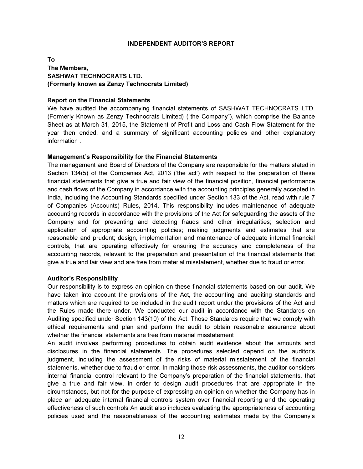#### INDEPENDENT AUDITOR'S REPORT

# To The Members, SASHWAT TECHNOCRATS LTD. (Formerly known as Zenzy Technocrats Limited)

#### Report on the Financial Statements

We have audited the accompanying financial statements of SASHWAT TECHNOCRATS LTD. (Formerly Known as Zenzy Technocrats Limited) ("the Company"), which comprise the Balance Sheet as at March 31, 2015, the Statement of Profit and Loss and Cash Flow Statement for the year then ended, and a summary of significant accounting policies and other explanatory information .

#### Management's Responsibility for the Financial Statements

The management and Board of Directors of the Company are responsible for the matters stated in Section 134(5) of the Companies Act, 2013 ('the act') with respect to the preparation of these financial statements that give a true and fair view of the financial position, financial performance and cash flows of the Company in accordance with the accounting principles generally accepted in India, including the Accounting Standards specified under Section 133 of the Act, read with rule 7 of Companies (Accounts) Rules, 2014. This responsibility includes maintenance of adequate accounting records in accordance with the provisions of the Act for safeguarding the assets of the Company and for preventing and detecting frauds and other irregularities; selection and application of appropriate accounting policies; making judgments and estimates that are reasonable and prudent; design, implementation and maintenance of adequate internal financial controls, that are operating effectively for ensuring the accuracy and completeness of the accounting records, relevant to the preparation and presentation of the financial statements that give a true and fair view and are free from material misstatement, whether due to fraud or error.

#### Auditor's Responsibility

Our responsibility is to express an opinion on these financial statements based on our audit. We have taken into account the provisions of the Act, the accounting and auditing standards and matters which are required to be included in the audit report under the provisions of the Act and the Rules made there under. We conducted our audit in accordance with the Standards on Auditing specified under Section 143(10) of the Act. Those Standards require that we comply with ethical requirements and plan and perform the audit to obtain reasonable assurance about whether the financial statements are free from material misstatement

An audit involves performing procedures to obtain audit evidence about the amounts and disclosures in the financial statements. The procedures selected depend on the auditor's judgment, including the assessment of the risks of material misstatement of the financial statements, whether due to fraud or error. In making those risk assessments, the auditor considers internal financial control relevant to the Company's preparation of the financial statements, that give a true and fair view, in order to design audit procedures that are appropriate in the circumstances, but not for the purpose of expressing an opinion on whether the Company has in place an adequate internal financial controls system over financial reporting and the operating effectiveness of such controls An audit also includes evaluating the appropriateness of accounting policies used and the reasonableness of the accounting estimates made by the Company's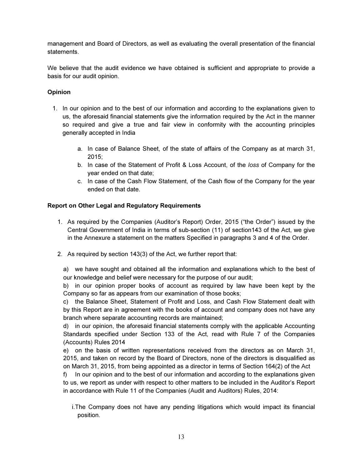management and Board of Directors, as well as evaluating the overall presentation of the financial statements.

We believe that the audit evidence we have obtained is sufficient and appropriate to provide a basis for our audit opinion.

# **Opinion**

- 1. In our opinion and to the best of our information and according to the explanations given to us, the aforesaid financial statements give the information required by the Act in the manner so required and give a true and fair view in conformity with the accounting principles generally accepted in India
	- a. In case of Balance Sheet, of the state of affairs of the Company as at march 31, 2015;
	- b. In case of the Statement of Profit & Loss Account, of the loss of Company for the year ended on that date;
	- c. In case of the Cash Flow Statement, of the Cash flow of the Company for the year ended on that date.

# Report on Other Legal and Regulatory Requirements

- 1. As required by the Companies (Auditor's Report) Order, 2015 ("the Order") issued by the Central Government of India in terms of sub-section (11) of section143 of the Act, we give in the Annexure a statement on the matters Specified in paragraphs 3 and 4 of the Order.
- 2. As required by section 143(3) of the Act, we further report that:

a) we have sought and obtained all the information and explanations which to the best of our knowledge and belief were necessary for the purpose of our audit;

b) in our opinion proper books of account as required by law have been kept by the Company so far as appears from our examination of those books;

c) the Balance Sheet, Statement of Profit and Loss, and Cash Flow Statement dealt with by this Report are in agreement with the books of account and company does not have any branch where separate accounting records are maintained;

d) in our opinion, the aforesaid financial statements comply with the applicable Accounting Standards specified under Section 133 of the Act, read with Rule 7 of the Companies (Accounts) Rules 2014

e) on the basis of written representations received from the directors as on March 31, 2015, and taken on record by the Board of Directors, none of the directors is disqualified as on March 31, 2015, from being appointed as a director in terms of Section 164(2) of the Act

f) In our opinion and to the best of our information and according to the explanations given to us, we report as under with respect to other matters to be included in the Auditor's Report in accordance with Rule 11 of the Companies (Audit and Auditors) Rules, 2014:

i. The Company does not have any pending litigations which would impact its financial position.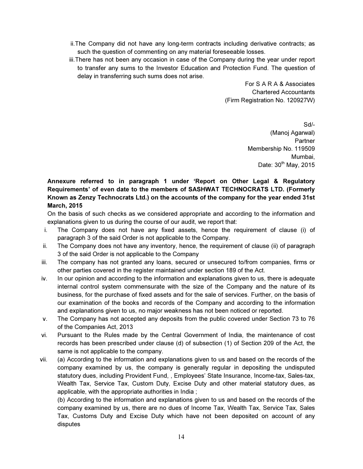- ii. The Company did not have any long-term contracts including derivative contracts; as such the question of commenting on any material foreseeable losses.
- iii. There has not been any occasion in case of the Company during the year under report to transfer any sums to the Investor Education and Protection Fund. The question of delay in transferring such sums does not arise.

For S A R A & Associates Chartered Accountants (Firm Registration No. 120927W)

> Sd/- (Manoj Agarwal) **Partner** Membership No. 119509 Mumbai, Date:  $30<sup>th</sup>$  May, 2015

# Annexure referred to in paragraph 1 under 'Report on Other Legal & Regulatory Requirements' of even date to the members of SASHWAT TECHNOCRATS LTD. (Formerly Known as Zenzy Technocrats Ltd.) on the accounts of the company for the year ended 31st March, 2015

On the basis of such checks as we considered appropriate and according to the information and explanations given to us during the course of our audit, we report that:

- i. The Company does not have any fixed assets, hence the requirement of clause (i) of paragraph 3 of the said Order is not applicable to the Company.
- ii. The Company does not have any inventory, hence, the requirement of clause (ii) of paragraph 3 of the said Order is not applicable to the Company
- iii. The company has not granted any loans, secured or unsecured to/from companies, firms or other parties covered in the register maintained under section 189 of the Act.
- iv. In our opinion and according to the information and explanations given to us, there is adequate internal control system commensurate with the size of the Company and the nature of its business, for the purchase of fixed assets and for the sale of services. Further, on the basis of our examination of the books and records of the Company and according to the information and explanations given to us, no major weakness has not been noticed or reported.
- v. The Company has not accepted any deposits from the public covered under Section 73 to 76 of the Companies Act, 2013
- vi. Pursuant to the Rules made by the Central Government of India, the maintenance of cost records has been prescribed under clause (d) of subsection (1) of Section 209 of the Act, the same is not applicable to the company.
- vii. (a) According to the information and explanations given to us and based on the records of the company examined by us, the company is generally regular in depositing the undisputed statutory dues, including Provident Fund, , Employees' State Insurance, Income-tax, Sales-tax, Wealth Tax, Service Tax, Custom Duty, Excise Duty and other material statutory dues, as applicable, with the appropriate authorities in India ;

(b) According to the information and explanations given to us and based on the records of the company examined by us, there are no dues of Income Tax, Wealth Tax, Service Tax, Sales Tax, Customs Duty and Excise Duty which have not been deposited on account of any disputes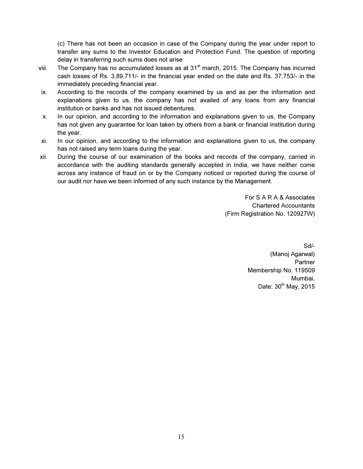(c) There has not been an occasion in case of the Company during the year under report to transfer any sums to the Investor Education and Protection Fund. The question of reporting delay in transferring such sums does not arise

- viii. The Company has no accumulated losses as at  $31<sup>st</sup>$  march, 2015. The Company has incurred cash losses of Rs. 3,89,711/- in the financial year ended on the date and Rs. 37,753/- in the immediately preceding financial year.
- ix. According to the records of the company examined by us and as per the information and explanations given to us, the company has not availed of any loans from any financial institution or banks and has not issued debentures.
- x. In our opinion, and according to the information and explanations given to us, the Company has not given any guarantee for loan taken by others from a bank or financial institution during the year.
- xi. In our opinion, and according to the information and explanations given to us, the company has not raised any term loans during the year.
- xii. During the course of our examination of the books and records of the company, carried in accordance with the auditing standards generally accepted in India, we have neither come across any instance of fraud on or by the Company noticed or reported during the course of our audit nor have we been informed of any such instance by the Management.

For S A R A & Associates Chartered Accountants (Firm Registration No. 120927W)

> Sd/- (Manoj Agarwal) Partner Membership No. 119509 Mumbai, Date:  $30<sup>th</sup>$  May, 2015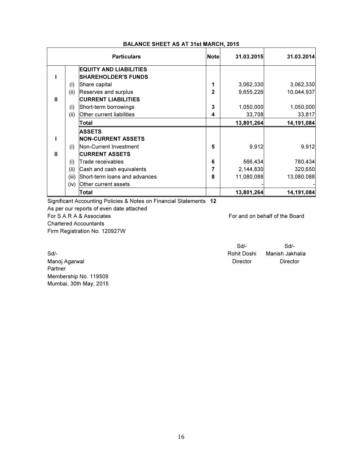|              | <b>Particulars</b>                     | <b>Note</b> | 31.03.2015 | 31.03.2014 |
|--------------|----------------------------------------|-------------|------------|------------|
|              | <b>EQUITY AND LIABILITIES</b>          |             |            |            |
|              | <b>SHAREHOLDER'S FUNDS</b>             |             |            |            |
|              | Share capital<br>(i)                   | 1           | 3,062,330  | 3,062,330  |
|              | (ii)<br>Reserves and surplus           | 2           | 9,655,226  | 10,044,937 |
| Ш            | <b>CURRENT LIABILITIES</b>             |             |            |            |
|              | Short-term borrowings<br>(i)           | 3           | 1,050,000  | 1,050,000  |
|              | (ii)<br>Other current liabilities      | 4           | 33,708     | 33,817     |
|              | Total                                  |             | 13,801,264 | 14,191,084 |
|              | <b>ASSETS</b>                          |             |            |            |
|              | <b>NON-CURRENT ASSETS</b>              |             |            |            |
|              | Non-Current Investment<br>(i)          | 5           | 9,912      | 9,912      |
| $\mathbf{I}$ | <b>CURRENT ASSETS</b>                  |             |            |            |
|              | Trade receivables<br>(i)               | 6           | 566,434    | 780,434    |
|              | (ii)<br>Cash and cash equivalents      | 7           | 2,144,830  | 320,650    |
|              | (iii)<br>Short-term loans and advances | 8           | 11,080,088 | 13,080,088 |
|              | Other current assets<br>(iv)           |             |            |            |
|              | Total                                  |             | 13,801,264 | 14,191,084 |

#### BALANCE SHEET AS AT 31st MARCH, 2015

Significant Accounting Policies & Notes on Financial Statements 12

As per our reports of even date attached

For S A R A & Associates For and on behalf of the Board Chartered Accountants

Firm Registration No. 120927W

Sd/- Sd/- Sd/- **Solution Controllering Controllering Controllering Controllering Controllering Controllering Controllering Controllering Controllering Controllering Controllering Controllering Controllering Controllering Controlleri** Manoj Agarwal **Director** Director **Director** Director **Director** 

Partner Membership No. 119509 Mumbai, 30th May, 2015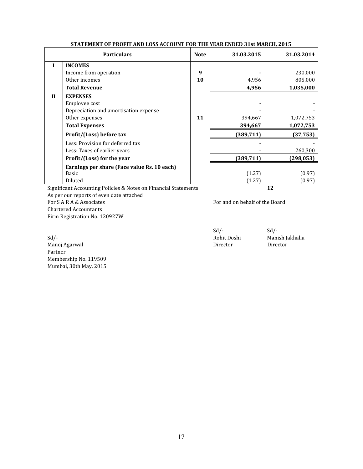|              | <b>Particulars</b>                          | <b>Note</b> | 31.03.2015 | 31.03.2014 |
|--------------|---------------------------------------------|-------------|------------|------------|
| I            | <b>INCOMES</b>                              |             |            |            |
|              | Income from operation                       | 9           |            | 230,000    |
|              | Other incomes                               | 10          | 4,956      | 805,000    |
|              | <b>Total Revenue</b>                        |             | 4,956      | 1,035,000  |
| $\mathbf{I}$ | <b>EXPENSES</b>                             |             |            |            |
|              | Employee cost                               |             |            |            |
|              | Depreciation and amortisation expense       |             |            |            |
|              | Other expenses                              | 11          | 394,667    | 1,072,753  |
|              | <b>Total Expenses</b>                       |             | 394,667    | 1,072,753  |
|              | Profit/(Loss) before tax                    |             | (389, 711) | (37, 753)  |
|              | Less: Provision for deferred tax            |             |            |            |
|              | Less: Taxes of earlier years                |             |            | 260,300    |
|              | Profit/(Loss) for the year                  |             | (389, 711) | (298, 053) |
|              | Earnings per share (Face value Rs. 10 each) |             |            |            |
|              | <b>Basic</b>                                |             | (1.27)     | (0.97)     |
|              | Diluted                                     |             | (1.27)     | (0.97      |

#### STATEMENT OF PROFIT AND LOSS ACCOUNT FOR THE YEAR ENDED 31st MARCH, 2015

Significant Accounting Policies & Notes on Financial Statements 12

As per our reports of even date attached For SA R A & Associates For and on behalf of the Board Chartered Accountants

Firm Registration No. 120927W

Sd/-<br>Manish Jakhalia Manish Jakhalia Manish Jakhalia Manish Jakhalia Manish Jakhalia Manish Jakhalia Manish Jakhalia Manoj Agarwal Partner Membership No. 119509 Mumbai, 30th May, 2015

 $Sd$ <sup>-</sup>  $Sd$ <sup>-</sup>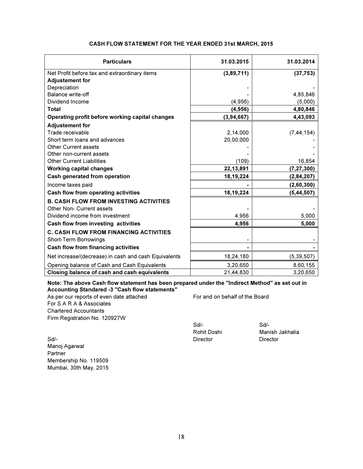| <b>Particulars</b>                                   | 31.03.2015 | 31.03.2014   |
|------------------------------------------------------|------------|--------------|
| Net Profit before tax and extraordinary items        | (3,89,711) | (37, 753)    |
| <b>Adjustement for</b>                               |            |              |
| Depreciation                                         |            |              |
| Balance write-off                                    |            | 4,85,846     |
| Dividend Income                                      | (4,956)    | (5,000)      |
| <b>Total</b>                                         | (4, 956)   | 4,80,846     |
| Operating profit before working capital changes      | (3,94,667) | 4,43,093     |
| <b>Adjustement for</b>                               |            |              |
| Trade receivable                                     | 2,14,000   | (7, 44, 154) |
| Short term loans and advances                        | 20,00,000  |              |
| <b>Other Current assets</b>                          |            |              |
| Other non-current assets                             |            |              |
| <b>Other Current Liabilities</b>                     | (109)      | 16,854       |
| <b>Working capital changes</b>                       | 22,13,891  | (7, 27, 300) |
| Cash generated from operation                        | 18,19,224  | (2, 84, 207) |
| Income taxes paid                                    |            | (2,60,300)   |
| <b>Cash flow from operating activities</b>           | 18,19,224  | (5, 44, 507) |
| <b>B. CASH FLOW FROM INVESTING ACTIVITIES</b>        |            |              |
| Other Non- Current assets                            |            |              |
| Dividend income from investment                      | 4,956      | 5,000        |
| Cash flow from investing activities                  | 4,956      | 5,000        |
| <b>C. CASH FLOW FROM FINANCING ACTIVITIES</b>        |            |              |
| Short-Term Borrowings                                |            |              |
| <b>Cash flow from financing activities</b>           |            |              |
| Net increase/(decrease) in cash and cash Equivalents | 18,24,180  | (5, 39, 507) |
| Opening balance of Cash and Cash Equivalents         | 3,20,650   | 8,60,155     |
| Closing balance of cash and cash equivalents         | 21,44,830  | 3,20,650     |

#### CASH FLOW STATEMENT FOR THE YEAR ENDED 31st MARCH, 2015

Note: The above Cash flow statement has been prepared under the "Indirect Method" as set out in Accounting Standared -3 "Cash flow statements"

As per our reports of even date attached For and on behalf of the Board For S A R A & Associates Chartered Accountants Firm Registration No. 120927W

Sd/- Sd/-

Manish Jakhalia

Sd/- **Director** Director **Director** Director **Director** Director Manoj Agarwal Partner Membership No. 119509 Mumbai, 30th May, 2015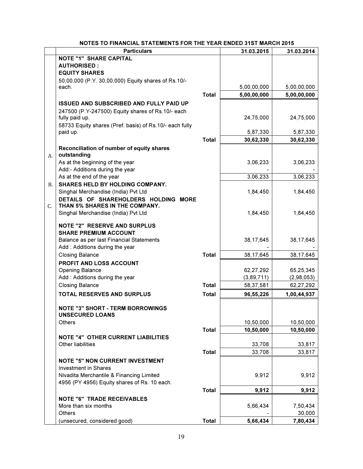|    | <b>Particulars</b>                                      |              | 31.03.2015  | 31.03.2014  |
|----|---------------------------------------------------------|--------------|-------------|-------------|
|    | <b>NOTE "1" SHARE CAPITAL</b>                           |              |             |             |
|    | <b>AUTHORISED:</b>                                      |              |             |             |
|    | <b>EQUITY SHARES</b>                                    |              |             |             |
|    | 50,00,000 (P.Y. 30,00,000) Equity shares of Rs.10/-     |              |             |             |
|    | each.                                                   |              | 5,00,00,000 | 5,00,00,000 |
|    |                                                         | <b>Total</b> | 5,00,00,000 | 5,00,00,000 |
|    | <b>ISSUED AND SUBSCRIBED AND FULLY PAID UP</b>          |              |             |             |
|    | 247500 (P.Y-247500) Equity shares of Rs.10/- each       |              |             |             |
|    | fully paid up.                                          |              | 24,75,000   | 24,75,000   |
|    | 58733 Equity shares (Pref. basis) of Rs.10/- each fully |              |             |             |
|    | paid up.                                                |              | 5,87,330    | 5,87,330    |
|    |                                                         | <b>Total</b> | 30,62,330   | 30,62,330   |
|    |                                                         |              |             |             |
|    | Reconciliation of number of equity shares               |              |             |             |
| А. | outstanding                                             |              |             |             |
|    | As at the beginning of the year                         |              | 3,06,233    | 3,06,233    |
|    | Add:- Additions during the year                         |              |             |             |
|    | As at the end of the year                               |              | 3,06,233    | 3,06,233    |
| В. | SHARES HELD BY HOLDING COMPANY.                         |              |             |             |
|    | Singhal Merchandise (India) Pvt Ltd                     |              | 1,84,450    | 1,84,450    |
|    | DETAILS OF SHAREHOLDERS HOLDING MORE                    |              |             |             |
| C. | THAN 5% SHARES IN THE COMPANY.                          |              |             |             |
|    | Singhal Merchandise (India) Pvt Ltd                     |              | 1,84,450    | 1,84,450    |
|    | <b>NOTE "2" RESERVE AND SURPLUS</b>                     |              |             |             |
|    | <b>SHARE PREMIUM ACCOUNT</b>                            |              |             |             |
|    | Balance as per last Financial Statements                |              | 38,17,645   |             |
|    | Add: Additions during the year                          |              |             | 38,17,645   |
|    |                                                         |              |             |             |
|    | <b>Closing Balance</b>                                  | <b>Total</b> | 38, 17, 645 | 38,17,645   |
|    | PROFIT AND LOSS ACCOUNT                                 |              |             |             |
|    | Opening Balance                                         |              | 62,27,292   | 65,25,345   |
|    | Add: Additions during the year                          |              | (3,89,711)  | (2,98,053)  |
|    | <b>Closing Balance</b>                                  | <b>Total</b> | 58,37,581   | 62,27,292   |
|    | <b>TOTAL RESERVES AND SURPLUS</b>                       | <b>Total</b> | 96,55,226   | 1,00,44,937 |
|    |                                                         |              |             |             |
|    | <b>NOTE "3" SHORT - TERM BORROWINGS</b>                 |              |             |             |
|    | <b>UNSECURED LOANS</b>                                  |              |             |             |
|    | Others                                                  |              | 10,50,000   | 10,50,000   |
|    |                                                         | <b>Total</b> | 10,50,000   | 10,50,000   |
|    | <b>NOTE "4" OTHER CURRENT LIABILITIES</b>               |              |             |             |
|    | Other liabilities                                       |              | 33,708      | 33,817      |
|    |                                                         | <b>Total</b> | 33,708      | 33,817      |
|    | <b>NOTE "5" NON CURRENT INVESTMENT</b>                  |              |             |             |
|    | <b>Investment in Shares</b>                             |              |             |             |
|    | Nivadita Merchantile & Financing Limited                |              | 9,912       | 9,912       |
|    | 4956 (PY 4956) Equity shares of Rs. 10 each.            |              |             |             |
|    |                                                         | <b>Total</b> | 9,912       | 9,912       |
|    | <b>NOTE "6" TRADE RECEIVABLES</b>                       |              |             |             |
|    | More than six months                                    |              | 5,66,434    | 7,50,434    |
|    | Others                                                  |              |             | 30,000      |
|    |                                                         |              |             |             |
|    | (unsecured, considered good)                            | <b>Total</b> | 5,66,434    | 7,80,434    |

# NOTES TO FINANCIAL STATEMENTS FOR THE YEAR ENDED 31ST MARCH 2015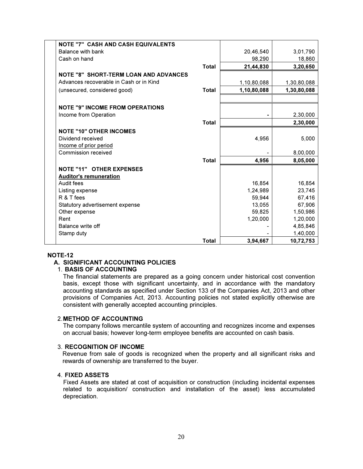| <b>NOTE "7" CASH AND CASH EQUIVALENTS</b>    |              |             |             |
|----------------------------------------------|--------------|-------------|-------------|
| Balance with bank                            |              | 20,46,540   | 3,01,790    |
| Cash on hand                                 |              | 98,290      | 18,860      |
|                                              | <b>Total</b> | 21,44,830   | 3,20,650    |
| <b>NOTE "8" SHORT-TERM LOAN AND ADVANCES</b> |              |             |             |
| Advances recoverable in Cash or in Kind      |              | 1,10,80,088 | 1,30,80,088 |
| (unsecured, considered good)                 | <b>Total</b> | 1,10,80,088 | 1,30,80,088 |
|                                              |              |             |             |
| <b>NOTE "9" INCOME FROM OPERATIONS</b>       |              |             |             |
| Income from Operation                        |              |             | 2,30,000    |
|                                              | <b>Total</b> |             | 2,30,000    |
| <b>NOTE "10" OTHER INCOMES</b>               |              |             |             |
| Dividend received                            |              | 4,956       | 5,000       |
| Income of prior period                       |              |             |             |
| Commission received                          |              |             | 8,00,000    |
|                                              | <b>Total</b> | 4,956       | 8,05,000    |
| <b>NOTE "11" OTHER EXPENSES</b>              |              |             |             |
| <b>Auditor's remuneration</b>                |              |             |             |
| Audit fees                                   |              | 16,854      | 16,854      |
| Listing expense                              |              | 1,24,989    | 23,745      |
| R & T fees                                   |              | 59,944      | 67,416      |
| Statutory advertisement expense              |              | 13,055      | 67,906      |
| Other expense                                |              | 59,825      | 1,50,986    |
| Rent                                         |              | 1,20,000    | 1,20,000    |
| Balance write off                            |              |             | 4,85,846    |
| Stamp duty                                   |              |             | 1,40,000    |
|                                              | <b>Total</b> | 3,94,667    | 10,72,753   |

#### NOTE-12

#### A. SIGNIFICANT ACCOUNTING POLICIES

#### 1. BASIS OF ACCOUNTING

The financial statements are prepared as a going concern under historical cost convention basis, except those with significant uncertainty, and in accordance with the mandatory accounting standards as specified under Section 133 of the Companies Act, 2013 and other provisions of Companies Act, 2013. Accounting policies not stated explicitly otherwise are consistent with generally accepted accounting principles.

#### 2. METHOD OF ACCOUNTING

The company follows mercantile system of accounting and recognizes income and expenses on accrual basis; however long-term employee benefits are accounted on cash basis.

#### 3. RECOGNITION OF INCOME

Revenue from sale of goods is recognized when the property and all significant risks and rewards of ownership are transferred to the buyer.

#### 4. FIXED ASSETS

Fixed Assets are stated at cost of acquisition or construction (including incidental expenses related to acquisition/ construction and installation of the asset) less accumulated depreciation.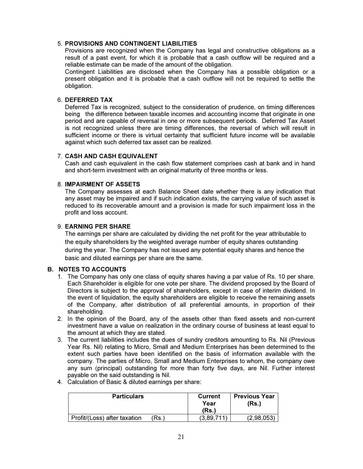#### 5. PROVISIONS AND CONTINGENT LIABILITIES

Provisions are recognized when the Company has legal and constructive obligations as a result of a past event, for which it is probable that a cash outflow will be required and a reliable estimate can be made of the amount of the obligation.

Contingent Liabilities are disclosed when the Company has a possible obligation or a present obligation and it is probable that a cash outflow will not be required to settle the obligation.

#### 6. DEFERRED TAX

Deferred Tax is recognized, subject to the consideration of prudence, on timing differences being the difference between taxable incomes and accounting income that originate in one period and are capable of reversal in one or more subsequent periods. Deferred Tax Asset is not recognized unless there are timing differences, the reversal of which will result in sufficient income or there is virtual certainty that sufficient future income will be available against which such deferred tax asset can be realized.

#### 7. CASH AND CASH EQUIVALENT

Cash and cash equivalent in the cash flow statement comprises cash at bank and in hand and short-term investment with an original maturity of three months or less.

#### 8. IMPAIRMENT OF ASSETS

The Company assesses at each Balance Sheet date whether there is any indication that any asset may be impaired and if such indication exists, the carrying value of such asset is reduced to its recoverable amount and a provision is made for such impairment loss in the profit and loss account.

#### 9. EARNING PER SHARE

The earnings per share are calculated by dividing the net profit for the year attributable to the equity shareholders by the weighted average number of equity shares outstanding during the year. The Company has not issued any potential equity shares and hence the basic and diluted earnings per share are the same.

#### B. NOTES TO ACCOUNTS

- 1. The Company has only one class of equity shares having a par value of Rs. 10 per share. Each Shareholder is eligible for one vote per share. The dividend proposed by the Board of Directors is subject to the approval of shareholders, except in case of interim dividend. In the event of liquidation, the equity shareholders are eligible to receive the remaining assets of the Company, after distribution of all preferential amounts, in proportion of their shareholding.
- 2. In the opinion of the Board, any of the assets other than fixed assets and non-current investment have a value on realization in the ordinary course of business at least equal to the amount at which they are stated.
- 3. The current liabilities includes the dues of sundry creditors amounting to Rs. Nil (Previous Year Rs. Nil) relating to Micro, Small and Medium Enterprises has been determined to the extent such parties have been identified on the basis of information available with the company. The parties of Micro, Small and Medium Enterprises to whom, the company owe any sum (principal) outstanding for more than forty five days, are Nil. Further interest payable on the said outstanding is Nil.
- 4. Calculation of Basic & diluted earnings per share:

| <b>Particulars</b>                   | Current<br>Year<br>(Rs.) | <b>Previous Year</b><br>(Rs.) |
|--------------------------------------|--------------------------|-------------------------------|
| Profit/(Loss) after taxation<br>Rs.) | (3.89.711                | (2.98.053)                    |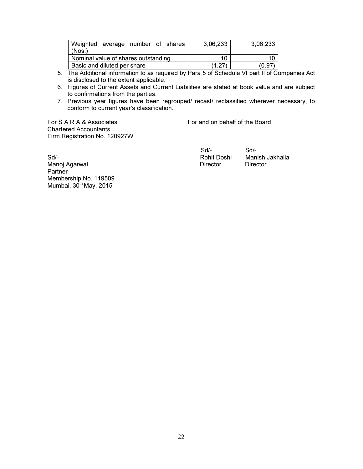| Weighted average number of shares<br>(Nos.) |  |  |  |  | 3,06,233 | 3,06,233 |
|---------------------------------------------|--|--|--|--|----------|----------|
| Nominal value of shares outstanding         |  |  |  |  | 10       | 10       |
| Basic and diluted per share                 |  |  |  |  | 1.27     | (0.97)   |

- 5. The Additional information to as required by Para 5 of Schedule VI part II of Companies Act is disclosed to the extent applicable.
- 6. Figures of Current Assets and Current Liabilities are stated at book value and are subject to confirmations from the parties.
- 7. Previous year figures have been regrouped/ recast/ reclassified wherever necessary, to conform to current year's classification.

For S A R A & Associates For and on behalf of the Board Chartered Accountants Firm Registration No. 120927W

 Sd/- Sd/- Sd/- Rohit Doshi Manish Jakhalia

Manoj Agarwal **Director** Director Director Director Partner Membership No. 119509 Mumbai,  $30<sup>th</sup>$  May, 2015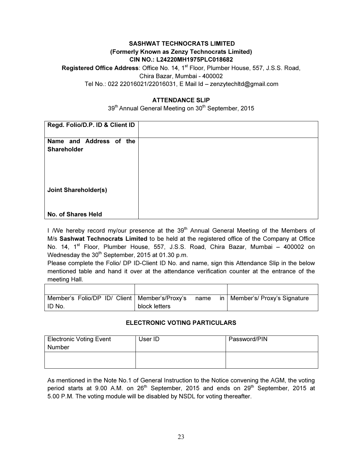# SASHWAT TECHNOCRATS LIMITED (Formerly Known as Zenzy Technocrats Limited) CIN NO.: L24220MH1975PLC018682

Registered Office Address: Office No. 14, 1<sup>st</sup> Floor, Plumber House, 557, J.S.S. Road, Chira Bazar, Mumbai - 400002 Tel No.: 022 22016021/22016031, E Mail Id – zenzytechltd@gmail.com

# ATTENDANCE SLIP

39<sup>th</sup> Annual General Meeting on 30<sup>th</sup> September, 2015

| Regd. Folio/D.P. ID & Client ID               |  |
|-----------------------------------------------|--|
| Name and Address of the<br><b>Shareholder</b> |  |
| <b>Joint Shareholder(s)</b>                   |  |
| No. of Shares Held                            |  |

I /We hereby record my/our presence at the 39<sup>th</sup> Annual General Meeting of the Members of M/s Sashwat Technocrats Limited to be held at the registered office of the Company at Office No. 14, 1<sup>st</sup> Floor, Plumber House, 557, J.S.S. Road, Chira Bazar, Mumbai - 400002 on Wednesday the  $30<sup>th</sup>$  September, 2015 at 01.30 p.m.

Please complete the Folio/ DP ID-Client ID No. and name, sign this Attendance Slip in the below mentioned table and hand it over at the attendance verification counter at the entrance of the meeting Hall.

| Member's Folio/DP ID/ Client   Member's/Proxy's |               | name | in I | Member's/ Proxy's Signature |
|-------------------------------------------------|---------------|------|------|-----------------------------|
| ID No.                                          | block letters |      |      |                             |

# ELECTRONIC VOTING PARTICULARS

| <b>Electronic Voting Event</b><br>Number | User ID | Password/PIN |
|------------------------------------------|---------|--------------|
|                                          |         |              |

As mentioned in the Note No.1 of General Instruction to the Notice convening the AGM, the voting period starts at 9.00 A.M. on 26<sup>th</sup> September, 2015 and ends on 29<sup>th</sup> September, 2015 at 5.00 P.M. The voting module will be disabled by NSDL for voting thereafter.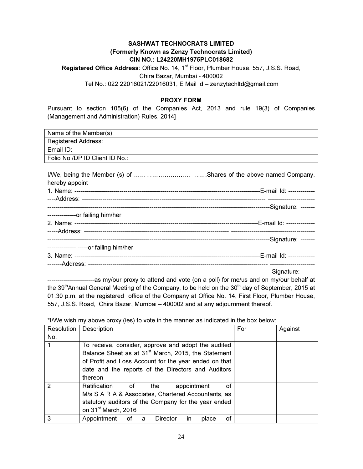# SASHWAT TECHNOCRATS LIMITED (Formerly Known as Zenzy Technocrats Limited) CIN NO.: L24220MH1975PLC018682

Registered Office Address: Office No. 14, 1<sup>st</sup> Floor, Plumber House, 557, J.S.S. Road, Chira Bazar, Mumbai - 400002 Tel No.: 022 22016021/22016031, E Mail Id – zenzytechltd@gmail.com

#### PROXY FORM

Pursuant to section 105(6) of the Companies Act, 2013 and rule 19(3) of Companies (Management and Administration) Rules, 2014]

| Name of the Member(s):         |  |
|--------------------------------|--|
| <b>Registered Address:</b>     |  |
| Email ID:                      |  |
| Folio No /DP ID Client ID No.: |  |

| hereby appoint                         |  |
|----------------------------------------|--|
|                                        |  |
|                                        |  |
|                                        |  |
| --------------or failing him/her       |  |
|                                        |  |
|                                        |  |
|                                        |  |
| -------------- -----or failing him/her |  |
|                                        |  |
|                                        |  |
|                                        |  |
|                                        |  |

---as my/our proxy to attend and vote (on a poll) for me/us and on my/our behalf at the 39<sup>th</sup>Annual General Meeting of the Company, to be held on the 30<sup>th</sup> day of September, 2015 at 01.30 p.m. at the registered office of the Company at Office No. 14, First Floor, Plumber House, 557, J.S.S. Road, Chira Bazar, Mumbai – 400002 and at any adjournment thereof.

\*I/We wish my above proxy (ies) to vote in the manner as indicated in the box below:

| Resolution | Description                                                                                                                                                                                                                                      | For | Against |
|------------|--------------------------------------------------------------------------------------------------------------------------------------------------------------------------------------------------------------------------------------------------|-----|---------|
| No.        |                                                                                                                                                                                                                                                  |     |         |
|            | To receive, consider, approve and adopt the audited<br>Balance Sheet as at 31 <sup>st</sup> March, 2015, the Statement<br>of Profit and Loss Account for the year ended on that<br>date and the reports of the Directors and Auditors<br>thereon |     |         |
| 2          | Ratification<br>the<br>appointment<br>οf<br>of<br>M/s S A R A & Associates, Chartered Accountants, as<br>statutory auditors of the Company for the year ended<br>on 31 <sup>st</sup> March, 2016                                                 |     |         |
| 3          | Appointment<br>Director<br>οf<br>place<br>of a<br>in.                                                                                                                                                                                            |     |         |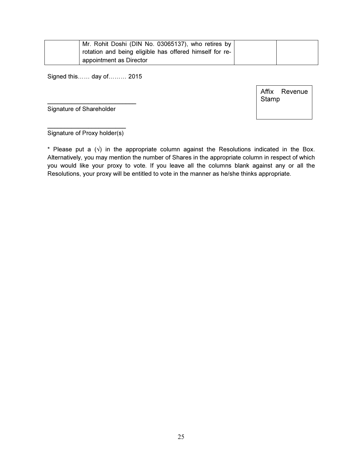| Mr. Rohit Doshi (DIN No. 03065137), who retires by      |  |
|---------------------------------------------------------|--|
| rotation and being eligible has offered himself for re- |  |
| appointment as Director                                 |  |

Signed this…… day of……… 2015

 $\_$ 

Affix Revenue Stamp

Signature of Shareholder

 $\overline{\phantom{a}}$  , where  $\overline{\phantom{a}}$  , where  $\overline{\phantom{a}}$ Signature of Proxy holder(s)

\* Please put a  $(\sqrt{)}$  in the appropriate column against the Resolutions indicated in the Box. Alternatively, you may mention the number of Shares in the appropriate column in respect of which you would like your proxy to vote. If you leave all the columns blank against any or all the Resolutions, your proxy will be entitled to vote in the manner as he/she thinks appropriate.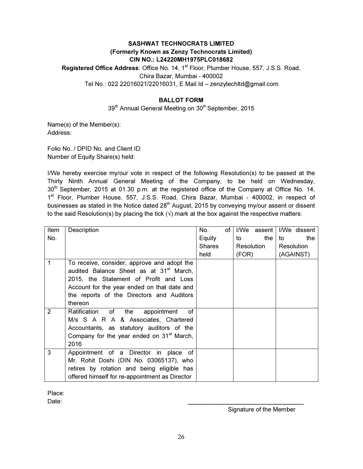# SASHWAT TECHNOCRATS LIMITED (Formerly Known as Zenzy Technocrats Limited) CIN NO.: L24220MH1975PLC018682

Registered Office Address: Office No. 14, 1<sup>st</sup> Floor, Plumber House, 557, J.S.S. Road, Chira Bazar, Mumbai - 400002 Tel No.: 022 22016021/22016031, E Mail Id – zenzytechltd@gmail.com

# BALLOT FORM

39<sup>th</sup> Annual General Meeting on 30<sup>th</sup> September, 2015

Name(s) of the Member(s): Address:

Folio No. / DPID No. and Client ID: Number of Equity Share(s) held:

I/We hereby exercise my/our vote in respect of the following Resolution(s) to be passed at the Thirty Ninth Annual General Meeting of the Company, to be held on Wednesday, 30<sup>th</sup> September, 2015 at 01.30 p.m. at the registered office of the Company at Office No. 14, 1<sup>st</sup> Floor, Plumber House, 557, J.S.S. Road, Chira Bazar, Mumbai - 400002, in respect of businesses as stated in the Notice dated 28<sup>th</sup> August, 2015 by conveying my/our assent or dissent to the said Resolution(s) by placing the tick  $\langle \cdot \rangle$  mark at the box against the respective matters:

| ltem           | Description                                           | No.           | of |       | I/We assent |    | I/We dissent |
|----------------|-------------------------------------------------------|---------------|----|-------|-------------|----|--------------|
| No.            |                                                       | Equity        |    | to    | the         | to | the          |
|                |                                                       | <b>Shares</b> |    |       | Resolution  |    | Resolution   |
|                |                                                       | held          |    | (FOR) |             |    | (AGAINST)    |
|                | To receive, consider, approve and adopt the           |               |    |       |             |    |              |
|                | audited Balance Sheet as at 31 <sup>st</sup> March,   |               |    |       |             |    |              |
|                | 2015, the Statement of Profit and Loss                |               |    |       |             |    |              |
|                | Account for the year ended on that date and           |               |    |       |             |    |              |
|                | the reports of the Directors and Auditors             |               |    |       |             |    |              |
|                | thereon                                               |               |    |       |             |    |              |
| $\overline{2}$ | the<br>οf<br>Ratification of<br>appointment           |               |    |       |             |    |              |
|                | M/s S A R A & Associates, Chartered                   |               |    |       |             |    |              |
|                | Accountants, as statutory auditors of the             |               |    |       |             |    |              |
|                | Company for the year ended on 31 <sup>st</sup> March, |               |    |       |             |    |              |
|                | 2016                                                  |               |    |       |             |    |              |
| 3              | Appointment of a Director in place of                 |               |    |       |             |    |              |
|                | Mr. Rohit Doshi (DIN No. 03065137), who               |               |    |       |             |    |              |
|                | retires by rotation and being eligible has            |               |    |       |             |    |              |
|                | offered himself for re-appointment as Director        |               |    |       |             |    |              |

Place:

Date: \_\_\_\_\_\_\_\_\_\_\_\_\_\_\_\_\_\_\_\_\_\_\_\_\_\_\_\_\_\_\_\_\_\_

Signature of the Member